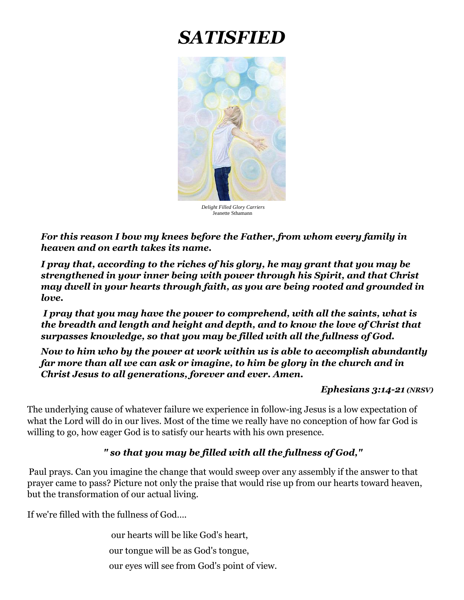# *SATISFIED*



 *Delight Filled Glory Carriers*  Jeanette Sthamann

*For this reason I bow my knees before the Father, from whom every family in heaven and on earth takes its name.* 

*I pray that, according to the riches of his glory, he may grant that you may be strengthened in your inner being with power through his Spirit, and that Christ may dwell in your hearts through faith, as you are being rooted and grounded in love.*

*I pray that you may have the power to comprehend, with all the saints, what is the breadth and length and height and depth, and to know the love of Christ that surpasses knowledge, so that you may be filled with all the fullness of God.*

*Now to him who by the power at work within us is able to accomplish abundantly far more than all we can ask or imagine, to him be glory in the church and in Christ Jesus to all generations, forever and ever. Amen.*

#### *Ephesians 3:14-21 (NRSV)*

The underlying cause of whatever failure we experience in follow-ing Jesus is a low expectation of what the Lord will do in our lives. Most of the time we really have no conception of how far God is willing to go, how eager God is to satisfy our hearts with his own presence.

### *" so that you may be filled with all the fullness of God,"*

Paul prays. Can you imagine the change that would sweep over any assembly if the answer to that prayer came to pass? Picture not only the praise that would rise up from our hearts toward heaven, but the transformation of our actual living.

If we're filled with the fullness of God….

our hearts will be like God's heart, our tongue will be as God's tongue, our eyes will see from God's point of view.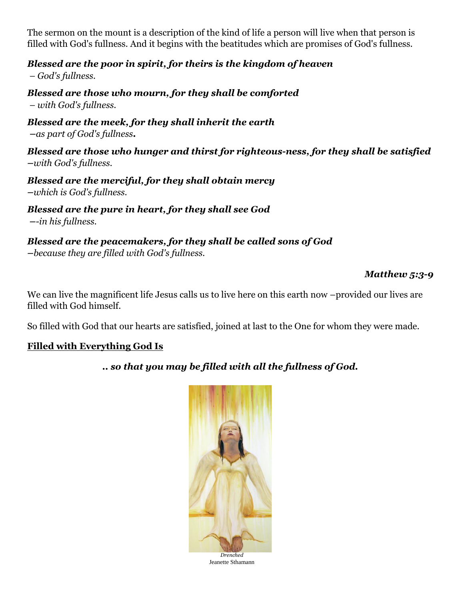The sermon on the mount is a description of the kind of life a person will live when that person is filled with God's fullness. And it begins with the beatitudes which are promises of God's fullness.

*Blessed are the poor in spirit, for theirs is the kingdom of heaven*

*– God's fullness.*

*Blessed are those who mourn, for they shall be comforted – with God's fullness.*

*Blessed are the meek, for they shall inherit the earth –as part of God's fullness.*

*Blessed are those who hunger and thirst for righteous-ness, for they shall be satisfied –with God's fullness.*

*Blessed are the merciful, for they shall obtain mercy –which is God's fullness.*

*Blessed are the pure in heart, for they shall see God –-in his fullness.*

*Blessed are the peacemakers, for they shall be called sons of God –because they are filled with God's fullness.* 

### *Matthew 5:3-9*

We can live the magnificent life Jesus calls us to live here on this earth now –provided our lives are filled with God himself.

So filled with God that our hearts are satisfied, joined at last to the One for whom they were made.

### **Filled with Everything God Is**

*.. so that you may be filled with all the fullness of God.*



*Drenched*  Jeanette Sthamann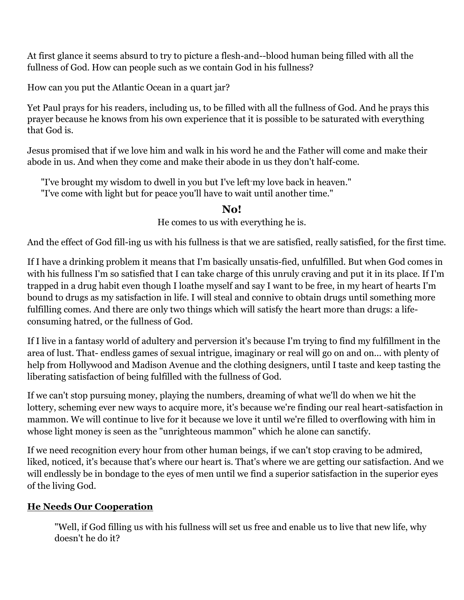At first glance it seems absurd to try to picture a flesh-and--blood human being filled with all the fullness of God. How can people such as we contain God in his fullness?

How can you put the Atlantic Ocean in a quart jar?

Yet Paul prays for his readers, including us, to be filled with all the fullness of God. And he prays this prayer because he knows from his own experience that it is possible to be saturated with everything that God is.

Jesus promised that if we love him and walk in his word he and the Father will come and make their abode in us. And when they come and make their abode in us they don't half-come.

"I've brought my wisdom to dwell in you but I've left-my love back in heaven." "I've come with light but for peace you'll have to wait until another time."

## **No!**

He comes to us with everything he is.

And the effect of God fill-ing us with his fullness is that we are satisfied, really satisfied, for the first time.

If I have a drinking problem it means that I'm basically unsatis-fied, unfulfilled. But when God comes in with his fullness I'm so satisfied that I can take charge of this unruly craving and put it in its place. If I'm trapped in a drug habit even though I loathe myself and say I want to be free, in my heart of hearts I'm bound to drugs as my satisfaction in life. I will steal and connive to obtain drugs until something more fulfilling comes. And there are only two things which will satisfy the heart more than drugs: a lifeconsuming hatred, or the fullness of God.

If I live in a fantasy world of adultery and perversion it's because I'm trying to find my fulfillment in the area of lust. That- endless games of sexual intrigue, imaginary or real will go on and on... with plenty of help from Hollywood and Madison Avenue and the clothing designers, until I taste and keep tasting the liberating satisfaction of being fulfilled with the fullness of God.

If we can't stop pursuing money, playing the numbers, dreaming of what we'll do when we hit the lottery, scheming ever new ways to acquire more, it's because we're finding our real heart-satisfaction in mammon. We will continue to live for it because we love it until we're filled to overflowing with him in whose light money is seen as the "unrighteous mammon" which he alone can sanctify.

If we need recognition every hour from other human beings, if we can't stop craving to be admired, liked, noticed, it's because that's where our heart is. That's where we are getting our satisfaction. And we will endlessly be in bondage to the eyes of men until we find a superior satisfaction in the superior eyes of the living God.

### **He Needs Our Cooperation**

"Well, if God filling us with his fullness will set us free and enable us to live that new life, why doesn't he do it?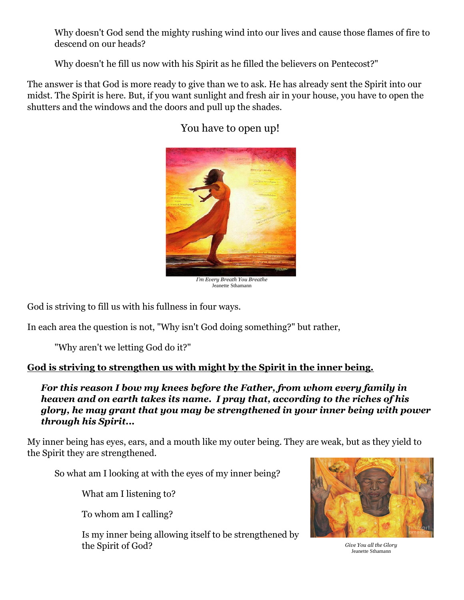Why doesn't God send the mighty rushing wind into our lives and cause those flames of fire to descend on our heads?

Why doesn't he fill us now with his Spirit as he filled the believers on Pentecost?"

The answer is that God is more ready to give than we to ask. He has already sent the Spirit into our midst. The Spirit is here. But, if you want sunlight and fresh air in your house, you have to open the shutters and the windows and the doors and pull up the shades.



## You have to open up!

*I'm Every Breath You Breathe* Jeanette Sthamann

God is striving to fill us with his fullness in four ways.

In each area the question is not, "Why isn't God doing something?" but rather,

"Why aren't we letting God do it?"

### **God is striving to strengthen us with might by the Spirit in the inner being.**

*For this reason I bow my knees before the Father, from whom every family in heaven and on earth takes its name. I pray that, according to the riches of his glory, he may grant that you may be strengthened in your inner being with power through his Spirit...* 

My inner being has eyes, ears, and a mouth like my outer being. They are weak, but as they yield to the Spirit they are strengthened.

So what am I looking at with the eyes of my inner being?

What am I listening to?

To whom am I calling?

Is my inner being allowing itself to be strengthened by the Spirit of God? *Give You all the Glory*



Jeanette Sthamann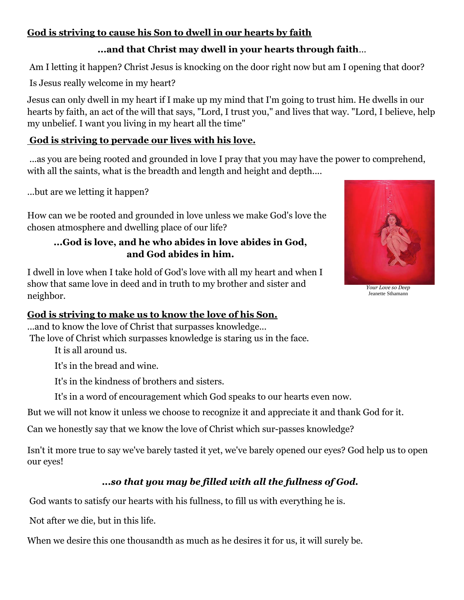## **God is striving to cause his Son to dwell in our hearts by faith**

## **...and that Christ may dwell in your hearts through faith**...

Am I letting it happen? Christ Jesus is knocking on the door right now but am I opening that door?

Is Jesus really welcome in my heart?

Jesus can only dwell in my heart if I make up my mind that I'm going to trust him. He dwells in our hearts by faith, an act of the will that says, "Lord, I trust you," and lives that way. "Lord, I believe, help my unbelief. I want you living in my heart all the time"

#### **God is striving to pervade our lives with his love.**

...as you are being rooted and grounded in love I pray that you may have the power to comprehend, with all the saints, what is the breadth and length and height and depth....

...but are we letting it happen?

How can we be rooted and grounded in love unless we make God's love the chosen atmosphere and dwelling place of our life?

## **...God is love, and he who abides in love abides in God, and God abides in him.**

I dwell in love when I take hold of God's love with all my heart and when I show that same love in deed and in truth to my brother and sister and neighbor.



...and to know the love of Christ that surpasses knowledge...

The love of Christ which surpasses knowledge is staring us in the face.

It is all around us.

It's in the bread and wine.

It's in the kindness of brothers and sisters.

It's in a word of encouragement which God speaks to our hearts even now.

But we will not know it unless we choose to recognize it and appreciate it and thank God for it.

Can we honestly say that we know the love of Christ which sur-passes knowledge?

Isn't it more true to say we've barely tasted it yet, we've barely opened our eyes? God help us to open our eyes!

# *...so that you may be filled with all the fullness of God.*

God wants to satisfy our hearts with his fullness, to fill us with everything he is.

Not after we die, but in this life.

When we desire this one thousandth as much as he desires it for us, it will surely be.



*Your Love so Deep* Jeanette Sthamann